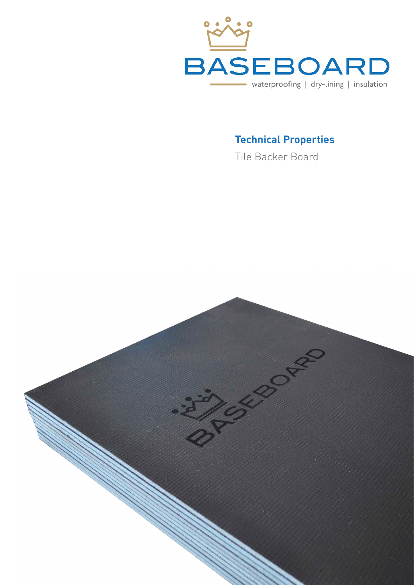

### **Technical Properties**

Tile Backer Board

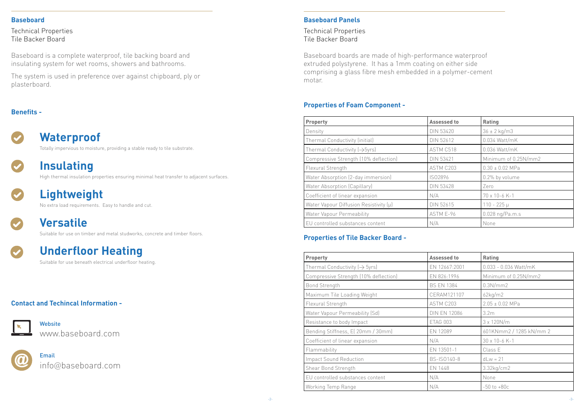#### **Baseboard Panels**

Technical Properties Tile Backer Board

#### **Baseboard**

Technical Properties Tile Backer Board

#### **Benefits -**



#### **Contact and Techincal Information -**



Baseboard is a complete waterproof, tile backing board and insulating system for wet rooms, showers and bathrooms.

The system is used in preference over against chipboard, ply or plasterboard.

### **Waterproof**

**Website** www.baseboard.com



Totally impervious to moisture, providing a stable ready to tile substrate.



## **Insulating**

High thermal insulation properties ensuring minimal heat transfer to adjacent surfaces.



# **Lightweight**

No extra load requirements. Easy to handle and cut.



# **Versatile**

Suitable for use on timber and metal studworks, concrete and timber floors.



# **Underfloor Heating**

Suitable for use beneath electrical underfloor heating.

Email info@baseboard.com

| Property                                  | <b>Assessed to</b> | Rating               |  |
|-------------------------------------------|--------------------|----------------------|--|
| Density                                   | <b>DIN 53420</b>   | $36 \pm 2$ kg/m3     |  |
| Thermal Conductivity (initial)            | <b>DIN 52612</b>   | 0.034 Watt/mK        |  |
| Thermal Conductivity $(\rightarrow$ 5yrs) | ASTM C518          | 0.036 Watt/mK        |  |
| Compressive Strength (10% deflection)     | <b>DIN 53421</b>   | Minimum of 0.25N/mm2 |  |
| Flexural Strength                         | ASTM C203          | $0.30 \pm 0.02$ MPa  |  |
| Water Absorption (2-day immersion)        | IS02896            | 0.2% by volume       |  |
| Water Absorption (Capillary)              | <b>DIN 53428</b>   | Zero                 |  |
| Coefficient of linear expansion           | N/A                | 70 x 10-6 K-1        |  |
| Water Vapour Diffusion Resistivity (µ)    | <b>DIN 52615</b>   | $110 - 225 \mu$      |  |
| Water Vapour Permeability                 | ASTM E-96          | 0.028 ng/Pa.m.s      |  |
| EU controlled substances content          | N/A                | None                 |  |

Baseboard boards are made of high-performance waterproof extruded polystyrene. It has a 1mm coating on either side comprising a glass fibre mesh embedded in a polymer-cement motar.

#### **Properties of Foam Component -**

### **Properties of Tile Backer Board -**

| <b>Property</b>                           | <b>Assessed to</b>  | <b>Rating</b>           |  |
|-------------------------------------------|---------------------|-------------------------|--|
| Thermal Conductivity $(\rightarrow$ 5yrs) | EN 12667:2001       | $0.033 - 0.036$ Watt/mK |  |
| Compressive Strength (10% deflection)     | EN 826:1996         | Minimum of 0.25N/mm2    |  |
| <b>Bond Strength</b>                      | <b>BS EN 1384</b>   | 0.3N/mm2                |  |
| Maximum Tile Loading Weight               | CERAM121107         | 62kg/m2                 |  |
| Flexural Strength                         | ASTM C203           | $2.05 \pm 0.02$ MPa     |  |
| Water Vapour Permeability (Sd)            | <b>DIN EN 12086</b> | 3.2 <sub>m</sub>        |  |
| Resistance to body Impact                 | ETAG 003            | $3 \times 120N/m$       |  |
| Bending Stiffness, E(20mm / 30mm)         | EN 12089            | 601KNmm2 / 1285 kN/mm 2 |  |
| Coefficient of linear expansion           | N/A                 | 30 x 10-6 K-1           |  |
| Flammability                              | EN 13501-1          | Class E                 |  |
| <b>Impact Sound Reduction</b>             | BS-IS0140-8         | $dLw = 21$              |  |
| Shear Bond Strength                       | EN 1448             | $3.32$ kg/cm $2$        |  |
| EU controlled substances content          | N/A                 | None                    |  |
| Working Temp Range                        | N/A                 | $-50$ to $+80c$         |  |